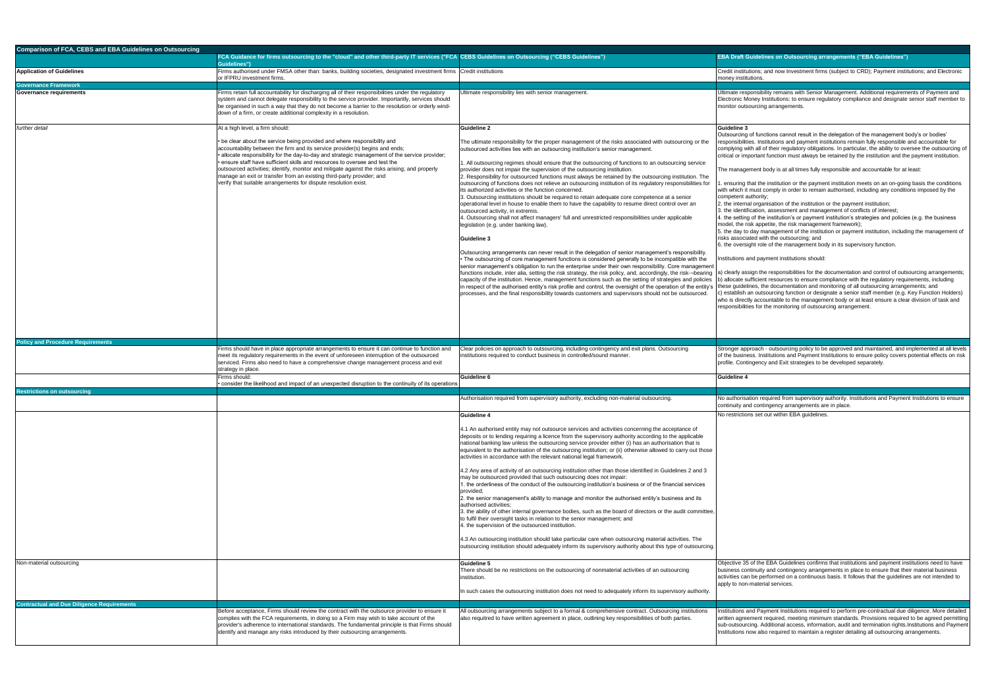### **CEBS Guidelines on Outsourcing ("CEBS Guidelines") EBA Draft Guidelines on Outsourcing arrangements ("EBA Guidelines")**

utions; and now Investment firms (subject to CRD); Payment institutions; and Electronic tutions.

ponsibility remains with Senior Management. Additional requirements of Payment and loney Institutions: to ensure regulatory compliance and designate senior staff member to sourcing arrangements.

of functions cannot result in the delegation of the management body's or bodies' ies. Institutions and payment institutions remain fully responsible and accountable for vith all of their regulatory obligations. In particular, the ability to oversee the outsourcing of portant function must always be retained by the institution and the payment institution.

ement body is at all times fully responsible and accountable for at least:

- that the institution or the payment institution meets on an on-going basis the conditions t must comply in order to remain authorised, including any conditions imposed by the uthority;
- al organisation of the institution or the payment institution;
- 3. the identification, assessment and management of conflicts of interest;
- 4. the setting of the institution's or payment institution's strategies and policies (e.g. the business isk appetite, the risk management framework);
	- oday management of the institution or payment institution, including the management of ated with the outsourcing; and
	- ight role of the management body in its supervisory function.

and payment institutions should:

sign the responsibilities for the documentation and control of outsourcing arrangements; ufficient resources to ensure compliance with the regulatory requirements, including ines, the documentation and monitoring of all outsourcing arrangements; and an outsourcing function or designate a senior staff member (e.g. Key Function Holders) tly accountable to the management body or at least ensure a clear division of task and ies for the monitoring of outsourcing arrangement.

rroach - outsourcing policy to be approved and maintained, and implemented at all levels ess. Institutions and Payment Institutions to ensure policy covers potential effects on risk ingency and Exit strategies to be developed separately.

ation required from supervisory authority. Institutions and Payment Institutions to ensure nd contingency arrangements are in place.

ons set out within EBA guidelines.

5 of the EBA Guidelines confirms that institutions and payment institutions need to have ntinuity and contingency arrangements in place to ensure that their material business 1 be performed on a continuous basis. It follows that the guidelines are not intended to a-material services.

and Payment Institutions required to perform pre-contractual due diligence. More detailed ement required, meeting minimum standards. Provisions required to be agreed permitting cing. Additional access, information, audit and termination rights.Institutions and Payment now also required to maintain a register detailing all outsourcing arrangements.

| <b>Comparison of FCA, CEBS and EBA Guidelines on Outsourcing</b> |                                                                                                                                                                                                                                                                                                                                                                                                                                                                                                                                                                                    |                                                                                                                                                                                                                                                                                                                                                                                                                                                                                                                                                                                                                                                                                                                                                                                                                                                                                                                                                                                                                                                                                                                                                                                                                                                                                                                                                                                                                                                                                                                                                                                                                                                                                                                                                                                                                                               |                                                                                                                                                                                                                                                                                                                                                                                    |
|------------------------------------------------------------------|------------------------------------------------------------------------------------------------------------------------------------------------------------------------------------------------------------------------------------------------------------------------------------------------------------------------------------------------------------------------------------------------------------------------------------------------------------------------------------------------------------------------------------------------------------------------------------|-----------------------------------------------------------------------------------------------------------------------------------------------------------------------------------------------------------------------------------------------------------------------------------------------------------------------------------------------------------------------------------------------------------------------------------------------------------------------------------------------------------------------------------------------------------------------------------------------------------------------------------------------------------------------------------------------------------------------------------------------------------------------------------------------------------------------------------------------------------------------------------------------------------------------------------------------------------------------------------------------------------------------------------------------------------------------------------------------------------------------------------------------------------------------------------------------------------------------------------------------------------------------------------------------------------------------------------------------------------------------------------------------------------------------------------------------------------------------------------------------------------------------------------------------------------------------------------------------------------------------------------------------------------------------------------------------------------------------------------------------------------------------------------------------------------------------------------------------|------------------------------------------------------------------------------------------------------------------------------------------------------------------------------------------------------------------------------------------------------------------------------------------------------------------------------------------------------------------------------------|
|                                                                  | FCA Guidance for firms outsourcing to the "cloud" and other third-party IT services ("FCA CEBS Guidelines on Outsourcing ("CEBS Guidelines")<br>Guidelines")                                                                                                                                                                                                                                                                                                                                                                                                                       |                                                                                                                                                                                                                                                                                                                                                                                                                                                                                                                                                                                                                                                                                                                                                                                                                                                                                                                                                                                                                                                                                                                                                                                                                                                                                                                                                                                                                                                                                                                                                                                                                                                                                                                                                                                                                                               | <b>EBA Draft G</b>                                                                                                                                                                                                                                                                                                                                                                 |
| <b>Application of Guidelines</b>                                 | Firms authorised under FMSA other than: banks, building societies, designated investment firms Credit institutions<br>or IFPRU investment firms.                                                                                                                                                                                                                                                                                                                                                                                                                                   |                                                                                                                                                                                                                                                                                                                                                                                                                                                                                                                                                                                                                                                                                                                                                                                                                                                                                                                                                                                                                                                                                                                                                                                                                                                                                                                                                                                                                                                                                                                                                                                                                                                                                                                                                                                                                                               | Credit institu<br>money institu                                                                                                                                                                                                                                                                                                                                                    |
| <b>Governance Framework</b>                                      |                                                                                                                                                                                                                                                                                                                                                                                                                                                                                                                                                                                    |                                                                                                                                                                                                                                                                                                                                                                                                                                                                                                                                                                                                                                                                                                                                                                                                                                                                                                                                                                                                                                                                                                                                                                                                                                                                                                                                                                                                                                                                                                                                                                                                                                                                                                                                                                                                                                               |                                                                                                                                                                                                                                                                                                                                                                                    |
| Governance requirements                                          | Firms retain full accountability for discharging all of their responsibilities under the regulatory<br>system and cannot delegate responsibility to the service provider. Importantly, services should<br>be organised in such a way that they do not become a barrier to the resolution or orderly wind-<br>down of a firm, or create additional complexity in a resolution.                                                                                                                                                                                                      | JItimate responsibility lies with senior management.                                                                                                                                                                                                                                                                                                                                                                                                                                                                                                                                                                                                                                                                                                                                                                                                                                                                                                                                                                                                                                                                                                                                                                                                                                                                                                                                                                                                                                                                                                                                                                                                                                                                                                                                                                                          | Ultimate resp<br>Electronic M<br>monitor outs                                                                                                                                                                                                                                                                                                                                      |
| further detail                                                   | At a high level, a firm should:                                                                                                                                                                                                                                                                                                                                                                                                                                                                                                                                                    | Guideline 2                                                                                                                                                                                                                                                                                                                                                                                                                                                                                                                                                                                                                                                                                                                                                                                                                                                                                                                                                                                                                                                                                                                                                                                                                                                                                                                                                                                                                                                                                                                                                                                                                                                                                                                                                                                                                                   | Guideline 3                                                                                                                                                                                                                                                                                                                                                                        |
|                                                                  | • be clear about the service being provided and where responsibility and<br>accountability between the firm and its service provider(s) begins and ends;<br>allocate responsibility for the day-to-day and strategic management of the service provider;<br>ensure staff have sufficient skills and resources to oversee and test the<br>outsourced activities; identify, monitor and mitigate against the risks arising; and properly<br>manage an exit or transfer from an existing third-party provider; and<br>verify that suitable arrangements for dispute resolution exist. | The ultimate responsibility for the proper management of the risks associated with outsourcing or the<br>outsourced activities lies with an outsourcing institution's senior management.<br>1. All outsourcing regimes should ensure that the outsourcing of functions to an outsourcing service<br>provider does not impair the supervision of the outsourcing institution.<br>2. Responsibility for outsourced functions must always be retained by the outsourcing institution. The<br>outsourcing of functions does not relieve an outsourcing institution of its regulatory responsibilities for<br>its authorized activities or the function concerned.<br>3. Outsourcing institutions should be required to retain adequate core competence at a senior<br>operational level in house to enable them to have the capability to resume direct control over an<br>outsourced activity, in extremis.<br>4. Outsourcing shall not affect managers' full and unrestricted responsibilities under applicable<br>legislation (e.g. under banking law).<br>Guideline 3<br>Outsourcing arrangements can never result in the delegation of senior management's responsibility.<br>The outsourcing of core management functions is considered generally to be incompatible with the<br>senior management's obligation to run the enterprise under their own responsibility. Core management<br>functions include, inter alia, setting the risk strategy, the risk policy, and, accordingly, the risk--bearing<br>capacity of the institution. Hence, management functions such as the setting of strategies and policies<br>in respect of the authorised entity's risk profile and control, the oversight of the operation of the entity's<br>processes, and the final responsibility towards customers and supervisors should not be outsourced. | Outsourcing<br>esponsibiliti<br>complying wi<br>critical or imp<br>The manage<br>ensuring t<br>with which it<br>competent a<br>2. the interna<br>3. the identifi<br>4. the setting<br>model, the ris<br>5. the day to<br>risks associa<br>6. the oversi<br>nstitutions a<br>a) clearly ass<br>b) allocate su<br>these guideli<br>c) establish a<br>who is direct<br>responsibiliti |
|                                                                  |                                                                                                                                                                                                                                                                                                                                                                                                                                                                                                                                                                                    |                                                                                                                                                                                                                                                                                                                                                                                                                                                                                                                                                                                                                                                                                                                                                                                                                                                                                                                                                                                                                                                                                                                                                                                                                                                                                                                                                                                                                                                                                                                                                                                                                                                                                                                                                                                                                                               |                                                                                                                                                                                                                                                                                                                                                                                    |
| <b>Policy and Procedure Requirements</b>                         |                                                                                                                                                                                                                                                                                                                                                                                                                                                                                                                                                                                    |                                                                                                                                                                                                                                                                                                                                                                                                                                                                                                                                                                                                                                                                                                                                                                                                                                                                                                                                                                                                                                                                                                                                                                                                                                                                                                                                                                                                                                                                                                                                                                                                                                                                                                                                                                                                                                               |                                                                                                                                                                                                                                                                                                                                                                                    |
|                                                                  | Firms should have in place appropriate arrangements to ensure it can continue to function and<br>meet its regulatory requirements in the event of unforeseen interruption of the outsourced<br>serviced. Firms also need to have a comprehensive change management process and exit<br>strategy in place.                                                                                                                                                                                                                                                                          | Clear policies on approach to outsourcing, including contingency and exit plans. Outsourcing<br>institutions required to conduct business in controlled/sound manner.                                                                                                                                                                                                                                                                                                                                                                                                                                                                                                                                                                                                                                                                                                                                                                                                                                                                                                                                                                                                                                                                                                                                                                                                                                                                                                                                                                                                                                                                                                                                                                                                                                                                         | Stronger app<br>of the busine<br>profile. Conti                                                                                                                                                                                                                                                                                                                                    |
|                                                                  | Firms should:<br>consider the likelihood and impact of an unexpected disruption to the continuity of its operations                                                                                                                                                                                                                                                                                                                                                                                                                                                                | Guideline 6                                                                                                                                                                                                                                                                                                                                                                                                                                                                                                                                                                                                                                                                                                                                                                                                                                                                                                                                                                                                                                                                                                                                                                                                                                                                                                                                                                                                                                                                                                                                                                                                                                                                                                                                                                                                                                   | Guideline 4                                                                                                                                                                                                                                                                                                                                                                        |
| <b>Restrictions on outsourcing</b>                               |                                                                                                                                                                                                                                                                                                                                                                                                                                                                                                                                                                                    |                                                                                                                                                                                                                                                                                                                                                                                                                                                                                                                                                                                                                                                                                                                                                                                                                                                                                                                                                                                                                                                                                                                                                                                                                                                                                                                                                                                                                                                                                                                                                                                                                                                                                                                                                                                                                                               |                                                                                                                                                                                                                                                                                                                                                                                    |
|                                                                  |                                                                                                                                                                                                                                                                                                                                                                                                                                                                                                                                                                                    | Authorisation required from supervisory authority, excluding non-material outsourcing.                                                                                                                                                                                                                                                                                                                                                                                                                                                                                                                                                                                                                                                                                                                                                                                                                                                                                                                                                                                                                                                                                                                                                                                                                                                                                                                                                                                                                                                                                                                                                                                                                                                                                                                                                        | No authorisa<br>continuity an                                                                                                                                                                                                                                                                                                                                                      |
| Non-material outsourcing                                         |                                                                                                                                                                                                                                                                                                                                                                                                                                                                                                                                                                                    | Guideline 4<br>4.1 An authorised entity may not outsource services and activities concerning the acceptance of<br>deposits or to lending requiring a licence from the supervisory authority according to the applicable<br>national banking law unless the outsourcing service provider either (i) has an authorisation that is<br>equivalent to the authorisation of the outsourcing institution; or (ii) otherwise allowed to carry out those<br>activities in accordance with the relevant national legal framework.<br>4.2 Any area of activity of an outsourcing institution other than those identified in Guidelines 2 and 3<br>may be outsourced provided that such outsourcing does not impair:<br>1. the orderliness of the conduct of the outsourcing institution's business or of the financial services<br>provided;<br>2. the senior management's ability to manage and monitor the authorised entity's business and its<br>authorised activities;<br>3. the ability of other internal governance bodies, such as the board of directors or the audit committee,<br>to fulfil their oversight tasks in relation to the senior management; and<br>4. the supervision of the outsourced institution.<br>4.3 An outsourcing institution should take particular care when outsourcing material activities. The<br>outsourcing institution should adequately inform its supervisory authority about this type of outsourcing.<br>Guideline 5<br>There should be no restrictions on the outsourcing of nonmaterial activities of an outsourcing<br>institution.<br>In such cases the outsourcing institution does not need to adequately inform its supervisory authority.                                                                                                                                                            | No restriction<br>Objective 35<br>business cor<br>activities can<br>apply to non-                                                                                                                                                                                                                                                                                                  |
| <b>Contractual and Due Diligence Requirements</b>                | Before acceptance, Firms should review the contract with the outsource provider to ensure it<br>complies with the FCA requirements, in doing so a Firm may wish to take account of the<br>provider's adherence to international standards. The fundamental principle is that Firms should<br>identify and manage any risks introduced by their outsourcing arrangements.                                                                                                                                                                                                           | All outsourcing arrangements subject to a formal & comprehensive contract. Outsourcing institutions<br>also requitred to have written agreement in place, outlining key responsibilities of both parties.                                                                                                                                                                                                                                                                                                                                                                                                                                                                                                                                                                                                                                                                                                                                                                                                                                                                                                                                                                                                                                                                                                                                                                                                                                                                                                                                                                                                                                                                                                                                                                                                                                     | Institutions a<br>written agree<br>sub-outsourc<br>Institutions n                                                                                                                                                                                                                                                                                                                  |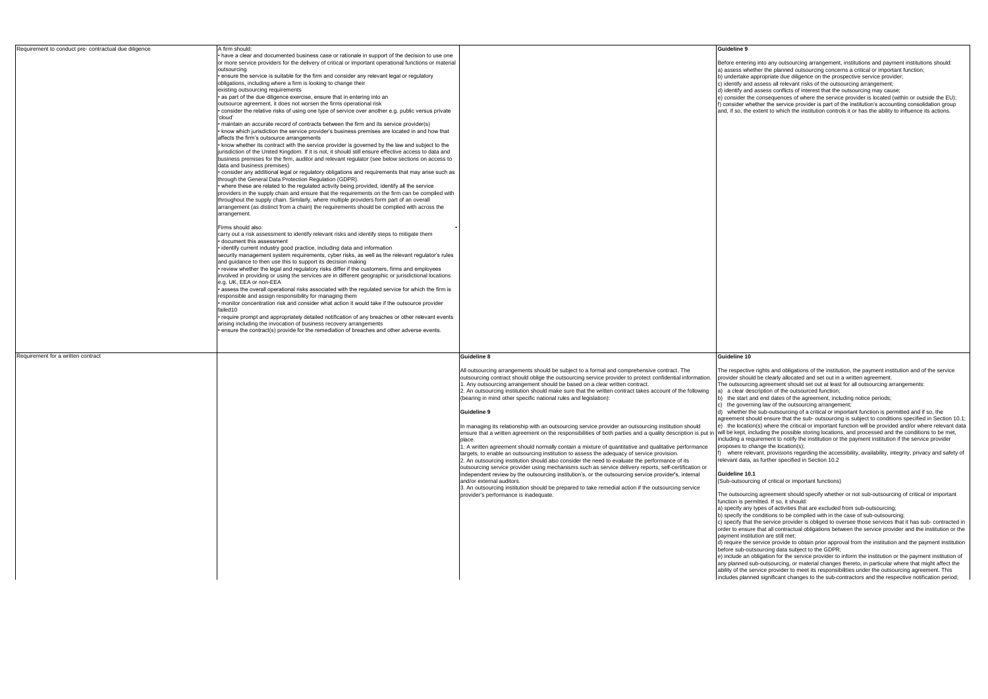(bearing in mind other specific national rules and legislation):

# **Guideline 9**

In managing its relationship with an outsourcing service provider an outsourcing institution should ensure that a written agreement on the responsibilities of both parties and a quality description is put in |will be kept, including the possible storing locations, and processed and the conditions to be met, place.

1. A written agreement should normally contain a mixture of quantitative and qualitative performance targets, to enable an outsourcing institution to assess the adequacy of service provision. 2. An outsourcing institution should also consider the need to evaluate the performance of its

outsourcing service provider using mechanisms such as service delivery reports, self-certification or independent review by the outsourcing institution's, or the outsourcing service provider's, internal and/or external auditors.

3. An outsourcing institution should be prepared to take remedial action if the outsourcing service provider's performance is inadequate.

c) the governing law of the outsourcing arrangement;

d) whether the sub-outsourcing of a critical or important function is permitted and if so, the agreement should ensure that the sub- outsourcing is subject to conditions specified in Section 10.1; e) the location(s) where the critical or important function will be provided and/or where relevant data including a requirement to notify the institution or the payment institution if the service provider proposes to change the location(s);

where relevant, provisions regarding the accessibility, availability, integrity, privacy and safety of elevant data, as further specified in Section 10.2

### **Guideline 10.1**

(Sub-outsourcing of critical or important functions)

The outsourcing agreement should specify whether or not sub-outsourcing of critical or important function is permitted. If so, it should:

a) specify any types of activities that are excluded from sub-outsourcing;

b) specify the conditions to be complied with in the case of sub-outsourcing;

c) specify that the service provider is obliged to oversee those services that it has sub- contracted in order to ensure that all contractual obligations between the service provider and the institution or the payment institution are still met;

d) require the service provide to obtain prior approval from the institution and the payment institution before sub-outsourcing data subject to the GDPR;

e) include an obligation for the service provider to inform the institution or the payment institution of any planned sub-outsourcing, or material changes thereto, in particular where that might affect the ability of the service provider to meet its responsibilities under the outsourcing agreement. This includes planned significant changes to the sub-contractors and the respective notification period;

ring into any outsourcing arrangement, institutions and payment institutions should: hether the planned outsourcing concerns a critical or important function;

appropriate due diligence on the prospective service provider;

nd assess all relevant risks of the outsourcing arrangement;

nd assess conflicts of interest that the outsourcing may cause;

the consequences of where the service provider is located (within or outside the EU); whether the service provider is part of the institution's accounting consolidation group he extent to which the institution controls it or has the ability to influence its actions.

tive rights and obligations of the institution, the payment institution and of the service puld be clearly allocated and set out in a written agreement.

rcing agreement should set out at least for all outsourcing arrangements:

ar description of the outsourced function;

b) the start and end dates of the agreement, including notice periods;

| Requirement to conduct pre-contractual due diligence | A firm should:                                                                                              |                                                                                                          | Guideline 9     |
|------------------------------------------------------|-------------------------------------------------------------------------------------------------------------|----------------------------------------------------------------------------------------------------------|-----------------|
|                                                      | • have a clear and documented business case or rationale in support of the decision to use one              |                                                                                                          |                 |
|                                                      | or more service providers for the delivery of critical or important operational functions or material       |                                                                                                          | Before enteri   |
|                                                      | outsourcing                                                                                                 |                                                                                                          | a) assess wh    |
|                                                      | ensure the service is suitable for the firm and consider any relevant legal or regulatory                   |                                                                                                          | b) undertake    |
|                                                      | obligations, including where a firm is looking to change their                                              |                                                                                                          | c) identify an  |
|                                                      | existing outsourcing requirements                                                                           |                                                                                                          | d) identify an  |
|                                                      | • as part of the due diligence exercise, ensure that in entering into an                                    |                                                                                                          | e) consider th  |
|                                                      | outsource agreement, it does not worsen the firms operational risk                                          |                                                                                                          | f) consider wl  |
|                                                      | consider the relative risks of using one type of service over another e.g. public versus private<br>'cloud' |                                                                                                          | and, if so, the |
|                                                      | maintain an accurate record of contracts between the firm and its service provider(s)                       |                                                                                                          |                 |
|                                                      | • know which jurisdiction the service provider's business premises are located in and how that              |                                                                                                          |                 |
|                                                      | affects the firm's outsource arrangements                                                                   |                                                                                                          |                 |
|                                                      | • know whether its contract with the service provider is governed by the law and subject to the             |                                                                                                          |                 |
|                                                      | jurisdiction of the United Kingdom. If it is not, it should still ensure effective access to data and       |                                                                                                          |                 |
|                                                      | business premises for the firm, auditor and relevant regulator (see below sections on access to             |                                                                                                          |                 |
|                                                      | data and business premises)                                                                                 |                                                                                                          |                 |
|                                                      | • consider any additional legal or regulatory obligations and requirements that may arise such as           |                                                                                                          |                 |
|                                                      | through the General Data Protection Regulation (GDPR).                                                      |                                                                                                          |                 |
|                                                      | • where these are related to the regulated activity being provided, identify all the service                |                                                                                                          |                 |
|                                                      | providers in the supply chain and ensure that the requirements on the firm can be complied with             |                                                                                                          |                 |
|                                                      | throughout the supply chain. Similarly, where multiple providers form part of an overall                    |                                                                                                          |                 |
|                                                      | arrangement (as distinct from a chain) the requirements should be complied with across the                  |                                                                                                          |                 |
|                                                      | arrangement.                                                                                                |                                                                                                          |                 |
|                                                      | Firms should also:                                                                                          |                                                                                                          |                 |
|                                                      | carry out a risk assessment to identify relevant risks and identify steps to mitigate them                  |                                                                                                          |                 |
|                                                      | • document this assessment                                                                                  |                                                                                                          |                 |
|                                                      | . identify current industry good practice, including data and information                                   |                                                                                                          |                 |
|                                                      | security management system requirements, cyber risks, as well as the relevant regulator's rules             |                                                                                                          |                 |
|                                                      | and quidance to then use this to support its decision making                                                |                                                                                                          |                 |
|                                                      | • review whether the legal and regulatory risks differ if the customers, firms and employees                |                                                                                                          |                 |
|                                                      | involved in providing or using the services are in different geographic or jurisdictional locations         |                                                                                                          |                 |
|                                                      | e.g. UK, EEA or non-EEA                                                                                     |                                                                                                          |                 |
|                                                      | • assess the overall operational risks associated with the regulated service for which the firm is          |                                                                                                          |                 |
|                                                      | responsible and assign responsibility for managing them                                                     |                                                                                                          |                 |
|                                                      | • monitor concentration risk and consider what action it would take if the outsource provider               |                                                                                                          |                 |
|                                                      | failed10                                                                                                    |                                                                                                          |                 |
|                                                      | · require prompt and appropriately detailed notification of any breaches or other relevant events           |                                                                                                          |                 |
|                                                      | arising including the invocation of business recovery arrangements                                          |                                                                                                          |                 |
|                                                      | • ensure the contract(s) provide for the remediation of breaches and other adverse events.                  |                                                                                                          |                 |
|                                                      |                                                                                                             |                                                                                                          |                 |
|                                                      |                                                                                                             |                                                                                                          |                 |
| Requirement for a written contract                   |                                                                                                             | Guideline 8                                                                                              | Guideline 10    |
|                                                      |                                                                                                             | All outsourcing arrangements should be subject to a formal and comprehensive contract. The               | The respectiv   |
|                                                      |                                                                                                             | outsourcing contract should oblige the outsourcing service provider to protect confidential information. | provider shou   |
|                                                      |                                                                                                             | 1. Any outsourcing arrangement should be based on a clear written contract.                              | The outsourc    |
|                                                      |                                                                                                             | 2. An outsourcing institution should make sure that the written contract takes account of the following  | a) a clear de   |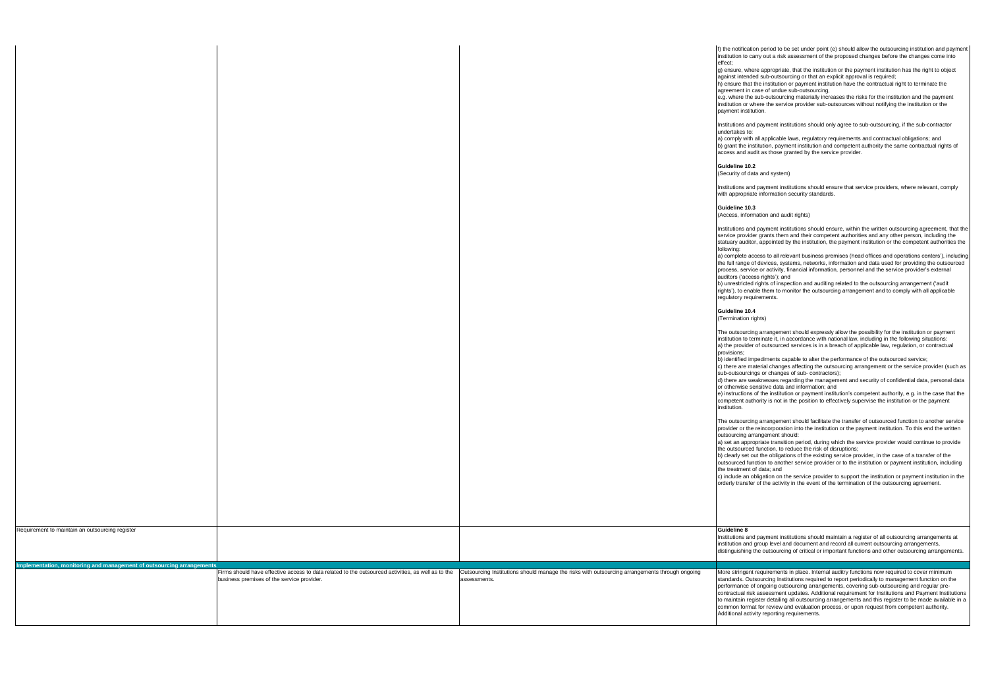f) the notification period to be set under point (e) should allow the outsourcing institution and payment carry out a risk assessment of the proposed changes before the changes come into

> ere appropriate, that the institution or the payment institution has the right to object ded sub-outsourcing or that an explicit approval is required;

it the institution or payment institution have the contractual right to terminate the case of undue sub-outsourcing,

e sub-outsourcing materially increases the risks for the institution and the payment where the service provider sub-outsources without notifying the institution or the itution.

nd payment institutions should only agree to sub-outsourcing, if the sub-contractor

th all applicable laws, regulatory requirements and contractual obligations; and nstitution, payment institution and competent authority the same contractual rights of audit as those granted by the service provider.

## $1.2<sup>2</sup>$

(data and system)

nd payment institutions should ensure that service providers, where relevant, comply ate information security standards.

### $\overline{\mathbf{3}}$

(*I*mation and audit rights)

nd payment institutions should ensure, within the written outsourcing agreement, that the der grants them and their competent authorities and any other person, including the tor, appointed by the institution, the payment institution or the competent authorities the

access to all relevant business premises (head offices and operations centers'), including of devices, systems, networks, information and data used for providing the outsourced rice or activity, financial information, personnel and the service provider's external bess rights'); and

ed rights of inspection and auditing related to the outsourcing arrangement ('audit rable them to monitor the outsourcing arrangement and to comply with all applicable quirements.

# $0.4$

rights)

ing arrangement should expressly allow the possibility for the institution or payment terminate it, in accordance with national law, including in the following situations: er of outsourced services is in a breach of applicable law, regulation, or contractual

mpediments capable to alter the performance of the outsourced service;

naterial changes affecting the outsourcing arrangement or the service provider (such as  $s$  ings or changes of sub- contractors);

 $\alpha$  veaknesses regarding the management and security of confidential data, personal data or otherwise sensitive data and information; and

is of the institution or payment institution's competent authority, e.g. in the case that the uthority is not in the position to effectively supervise the institution or the payment

ing arrangement should facilitate the transfer of outsourced function to another service e reincorporation into the institution or the payment institution. To this end the written arrangement should:

ropriate transition period, during which the service provider would continue to provide ed function, to reduce the risk of disruptions;

out the obligations of the existing service provider, in the case of a transfer of the unction to another service provider or to the institution or payment institution, including t of data; and

obligation on the service provider to support the institution or payment institution in the fer of the activity in the event of the termination of the outsourcing agreement.

nd payment institutions should maintain a register of all outsourcing arrangements at d group level and document and record all current outsourcing arrangements, ) the outsourcing of critical or important functions and other outsourcing arrangements.

nt requirements in place. Internal auditry functions now required to cover minimum utsourcing Institutions required to report periodically to management function on the of ongoing outsourcing arrangements, covering sub-outsourcing and regular presk assessment updates. Additional requirement for Institutions and Payment Institutions egister detailing all outsourcing arrangements and this register to be made available in a nat for review and evaluation process, or upon request from competent authority. tivity reporting requirements.

|                                                                       |                                                                                                    |                                                                                                | f) the notificati                                |
|-----------------------------------------------------------------------|----------------------------------------------------------------------------------------------------|------------------------------------------------------------------------------------------------|--------------------------------------------------|
|                                                                       |                                                                                                    |                                                                                                | institution to c                                 |
|                                                                       |                                                                                                    |                                                                                                | effect;                                          |
|                                                                       |                                                                                                    |                                                                                                | g) ensure, whe                                   |
|                                                                       |                                                                                                    |                                                                                                | against intend                                   |
|                                                                       |                                                                                                    |                                                                                                | h) ensure that                                   |
|                                                                       |                                                                                                    |                                                                                                | agreement in                                     |
|                                                                       |                                                                                                    |                                                                                                | e.g. where the                                   |
|                                                                       |                                                                                                    |                                                                                                | institution or w                                 |
|                                                                       |                                                                                                    |                                                                                                | payment instit                                   |
|                                                                       |                                                                                                    |                                                                                                |                                                  |
|                                                                       |                                                                                                    |                                                                                                | Institutions an<br>undertakes to:                |
|                                                                       |                                                                                                    |                                                                                                | a) comply with                                   |
|                                                                       |                                                                                                    |                                                                                                | b) grant the in                                  |
|                                                                       |                                                                                                    |                                                                                                | access and at                                    |
|                                                                       |                                                                                                    |                                                                                                |                                                  |
|                                                                       |                                                                                                    |                                                                                                | Guideline 10.                                    |
|                                                                       |                                                                                                    |                                                                                                | (Security of da                                  |
|                                                                       |                                                                                                    |                                                                                                |                                                  |
|                                                                       |                                                                                                    |                                                                                                | Institutions an                                  |
|                                                                       |                                                                                                    |                                                                                                | with appropria                                   |
|                                                                       |                                                                                                    |                                                                                                |                                                  |
|                                                                       |                                                                                                    |                                                                                                | Guideline 10.<br>(Access, infor                  |
|                                                                       |                                                                                                    |                                                                                                |                                                  |
|                                                                       |                                                                                                    |                                                                                                | Institutions an                                  |
|                                                                       |                                                                                                    |                                                                                                | service provid                                   |
|                                                                       |                                                                                                    |                                                                                                | statuary audit                                   |
|                                                                       |                                                                                                    |                                                                                                | following:                                       |
|                                                                       |                                                                                                    |                                                                                                | a) complete a                                    |
|                                                                       |                                                                                                    |                                                                                                | the full range                                   |
|                                                                       |                                                                                                    |                                                                                                | process, servi                                   |
|                                                                       |                                                                                                    |                                                                                                | auditors ('acce                                  |
|                                                                       |                                                                                                    |                                                                                                | b) unrestricted                                  |
|                                                                       |                                                                                                    |                                                                                                | rights'), to ena<br>regulatory req               |
|                                                                       |                                                                                                    |                                                                                                |                                                  |
|                                                                       |                                                                                                    |                                                                                                | Guideline 10.                                    |
|                                                                       |                                                                                                    |                                                                                                | (Termination r                                   |
|                                                                       |                                                                                                    |                                                                                                |                                                  |
|                                                                       |                                                                                                    |                                                                                                | The outsourci                                    |
|                                                                       |                                                                                                    |                                                                                                | institution to te                                |
|                                                                       |                                                                                                    |                                                                                                | a) the provide                                   |
|                                                                       |                                                                                                    |                                                                                                | provisions;                                      |
|                                                                       |                                                                                                    |                                                                                                | b) identified in                                 |
|                                                                       |                                                                                                    |                                                                                                | c) there are m<br>sub-outsourci                  |
|                                                                       |                                                                                                    |                                                                                                | d) there are w                                   |
|                                                                       |                                                                                                    |                                                                                                | or otherwise s                                   |
|                                                                       |                                                                                                    |                                                                                                | e) instructions                                  |
|                                                                       |                                                                                                    |                                                                                                | competent aut                                    |
|                                                                       |                                                                                                    |                                                                                                | institution.                                     |
|                                                                       |                                                                                                    |                                                                                                |                                                  |
|                                                                       |                                                                                                    |                                                                                                | The outsourci                                    |
|                                                                       |                                                                                                    |                                                                                                | provider or the                                  |
|                                                                       |                                                                                                    |                                                                                                | outsourcing a<br>a) set an appro                 |
|                                                                       |                                                                                                    |                                                                                                | the outsource                                    |
|                                                                       |                                                                                                    |                                                                                                | b) clearly set o                                 |
|                                                                       |                                                                                                    |                                                                                                | outsourced ful                                   |
|                                                                       |                                                                                                    |                                                                                                | the treatment                                    |
|                                                                       |                                                                                                    |                                                                                                | c) include an o                                  |
|                                                                       |                                                                                                    |                                                                                                | orderly transfe                                  |
|                                                                       |                                                                                                    |                                                                                                |                                                  |
|                                                                       |                                                                                                    |                                                                                                |                                                  |
|                                                                       |                                                                                                    |                                                                                                |                                                  |
|                                                                       |                                                                                                    |                                                                                                |                                                  |
|                                                                       |                                                                                                    |                                                                                                |                                                  |
| Requirement to maintain an outsourcing register                       |                                                                                                    |                                                                                                | Guideline 8                                      |
|                                                                       |                                                                                                    |                                                                                                | Institutions an                                  |
|                                                                       |                                                                                                    |                                                                                                | institution and                                  |
|                                                                       |                                                                                                    |                                                                                                | distinguishing                                   |
|                                                                       |                                                                                                    |                                                                                                |                                                  |
| Implementation, monitoring and management of outsourcing arrangements |                                                                                                    |                                                                                                |                                                  |
|                                                                       |                                                                                                    | Outsourcing Institutions should manage the risks with outsourcing arrangements through ongoing | More stringen                                    |
|                                                                       | Firms should have effective access to data related to the outsourced activities, as well as to the |                                                                                                |                                                  |
|                                                                       | business premises of the service provider.                                                         | assessments.                                                                                   | standards. Ou                                    |
|                                                                       |                                                                                                    |                                                                                                | performance o                                    |
|                                                                       |                                                                                                    |                                                                                                | contractual ris                                  |
|                                                                       |                                                                                                    |                                                                                                |                                                  |
|                                                                       |                                                                                                    |                                                                                                | to maintain re<br>common form<br>Additional acti |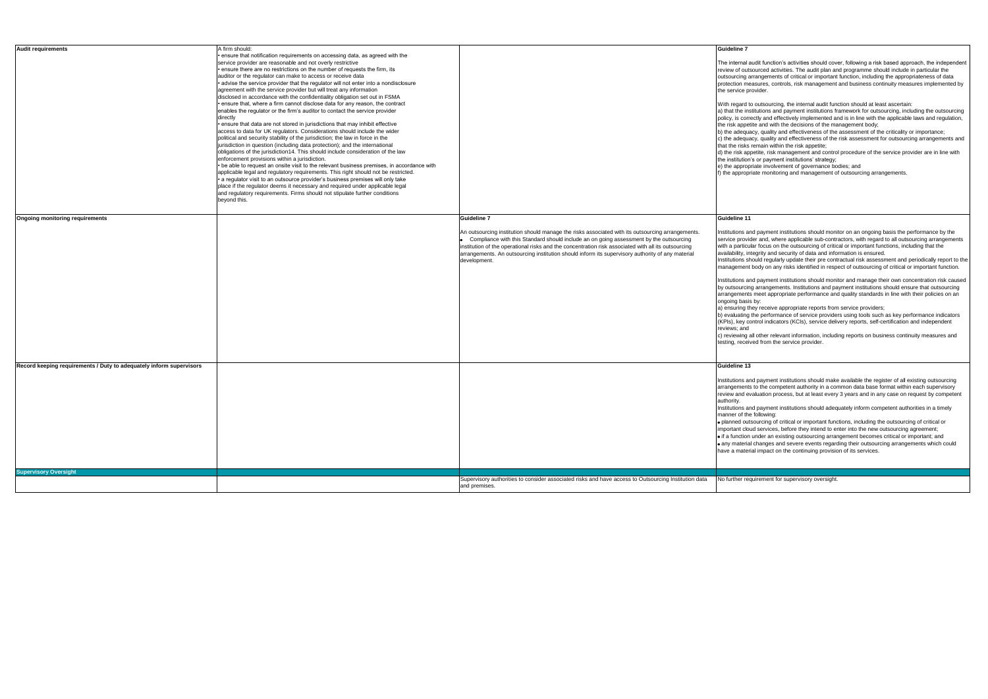b) evaluating the performance of service providers using tools such as key performance indicators (KPIs), key control indicators (KCIs), service delivery reports, self-certification and independent

all other relevant information, including reports on business continuity measures and eived from the service provider.

and payment institutions should make available the register of all existing outsourcing and projection in antibiation of the competent authority in a common data base format within each supervisory f evaluation process, but at least every 3 years and in any case on request by competent

and payment institutions should adequately inform competent authorities in a timely  $the$  following:

putsourcing of critical or important functions, including the outsourcing of critical or loud services, before they intend to enter into the new outsourcing agreement; ion under an existing outsourcing arrangement becomes critical or important; and material changes and severe events regarding their outsourcing arrangements which could terial impact on the continuing provision of its services.

equirement for supervisory oversight.

| <b>Audit requirements</b>                                           | A firm should:                                                                             |                                                                                                      | Guideline 7      |
|---------------------------------------------------------------------|--------------------------------------------------------------------------------------------|------------------------------------------------------------------------------------------------------|------------------|
|                                                                     | • ensure that notification requirements on accessing data, as agreed with the              |                                                                                                      |                  |
|                                                                     | service provider are reasonable and not overly restrictive                                 |                                                                                                      | The internal a   |
|                                                                     | ensure there are no restrictions on the number of requests the firm, its                   |                                                                                                      | review of out:   |
|                                                                     |                                                                                            |                                                                                                      |                  |
|                                                                     | auditor or the regulator can make to access or receive data                                |                                                                                                      | outsourcing a    |
|                                                                     | • advise the service provider that the regulator will not enter into a nondisclosure       |                                                                                                      | protection me    |
|                                                                     | agreement with the service provider but will treat any information                         |                                                                                                      | the service p    |
|                                                                     | disclosed in accordance with the confidentiality obligation set out in FSMA                |                                                                                                      |                  |
|                                                                     |                                                                                            |                                                                                                      |                  |
|                                                                     | · ensure that, where a firm cannot disclose data for any reason, the contract              |                                                                                                      | With regard t    |
|                                                                     | enables the regulator or the firm's auditor to contact the service provider                |                                                                                                      | a) that the ins  |
|                                                                     | directly                                                                                   |                                                                                                      | policy, is corr  |
|                                                                     | · ensure that data are not stored in jurisdictions that may inhibit effective              |                                                                                                      |                  |
|                                                                     |                                                                                            |                                                                                                      | the risk appe    |
|                                                                     | access to data for UK regulators. Considerations should include the wider                  |                                                                                                      | b) the adequa    |
|                                                                     | political and security stability of the jurisdiction; the law in force in the              |                                                                                                      | c) the adequa    |
|                                                                     | jurisdiction in question (including data protection); and the international                |                                                                                                      | that the risks   |
|                                                                     |                                                                                            |                                                                                                      |                  |
|                                                                     | obligations of the jurisdiction14. This should include consideration of the law            |                                                                                                      | d) the risk ap   |
|                                                                     | enforcement provisions within a jurisdiction.                                              |                                                                                                      | the institution  |
|                                                                     | • be able to request an onsite visit to the relevant business premises, in accordance with |                                                                                                      | e) the approp    |
|                                                                     |                                                                                            |                                                                                                      |                  |
|                                                                     | applicable legal and regulatory requirements. This right should not be restricted.         |                                                                                                      | f) the appropi   |
|                                                                     | • a regulator visit to an outsource provider's business premises will only take            |                                                                                                      |                  |
|                                                                     | place if the regulator deems it necessary and required under applicable legal              |                                                                                                      |                  |
|                                                                     | and regulatory requirements. Firms should not stipulate further conditions                 |                                                                                                      |                  |
|                                                                     |                                                                                            |                                                                                                      |                  |
|                                                                     | beyond this.                                                                               |                                                                                                      |                  |
|                                                                     |                                                                                            |                                                                                                      |                  |
|                                                                     |                                                                                            |                                                                                                      |                  |
| <b>Ongoing monitoring requirements</b>                              |                                                                                            | Guideline 7                                                                                          | Guideline 11     |
|                                                                     |                                                                                            |                                                                                                      |                  |
|                                                                     |                                                                                            |                                                                                                      |                  |
|                                                                     |                                                                                            | An outsourcing institution should manage the risks associated with its outsourcing arrangements.     | nstitutions ar   |
|                                                                     |                                                                                            | Compliance with this Standard should include an on going assessment by the outsourcing               | service provi    |
|                                                                     |                                                                                            | institution of the operational risks and the concentration risk associated with all its outsourcing  | with a particu   |
|                                                                     |                                                                                            |                                                                                                      |                  |
|                                                                     |                                                                                            | arrangements. An outsourcing institution should inform its supervisory authority of any material     | availability, in |
|                                                                     |                                                                                            | development.                                                                                         | Institutions sl  |
|                                                                     |                                                                                            |                                                                                                      | management       |
|                                                                     |                                                                                            |                                                                                                      |                  |
|                                                                     |                                                                                            |                                                                                                      |                  |
|                                                                     |                                                                                            |                                                                                                      | Institutions ar  |
|                                                                     |                                                                                            |                                                                                                      | by outsourcin    |
|                                                                     |                                                                                            |                                                                                                      |                  |
|                                                                     |                                                                                            |                                                                                                      | arrangement:     |
|                                                                     |                                                                                            |                                                                                                      | ongoing basi:    |
|                                                                     |                                                                                            |                                                                                                      | a) ensuring th   |
|                                                                     |                                                                                            |                                                                                                      | b) evaluating    |
|                                                                     |                                                                                            |                                                                                                      |                  |
|                                                                     |                                                                                            |                                                                                                      | (KPIs), key c    |
|                                                                     |                                                                                            |                                                                                                      | reviews; and     |
|                                                                     |                                                                                            |                                                                                                      | c) reviewing a   |
|                                                                     |                                                                                            |                                                                                                      |                  |
|                                                                     |                                                                                            |                                                                                                      | testing, recei   |
|                                                                     |                                                                                            |                                                                                                      |                  |
|                                                                     |                                                                                            |                                                                                                      |                  |
|                                                                     |                                                                                            |                                                                                                      |                  |
| Record keeping requirements / Duty to adequately inform supervisors |                                                                                            |                                                                                                      | Guideline 13     |
|                                                                     |                                                                                            |                                                                                                      |                  |
|                                                                     |                                                                                            |                                                                                                      |                  |
|                                                                     |                                                                                            |                                                                                                      | Institutions ar  |
|                                                                     |                                                                                            |                                                                                                      | arrangement:     |
|                                                                     |                                                                                            |                                                                                                      | review and e     |
|                                                                     |                                                                                            |                                                                                                      |                  |
|                                                                     |                                                                                            |                                                                                                      | authority.       |
|                                                                     |                                                                                            |                                                                                                      | Institutions ar  |
|                                                                     |                                                                                            |                                                                                                      | manner of the    |
|                                                                     |                                                                                            |                                                                                                      |                  |
|                                                                     |                                                                                            |                                                                                                      | · planned out    |
|                                                                     |                                                                                            |                                                                                                      | important clo    |
|                                                                     |                                                                                            |                                                                                                      | • if a function  |
|                                                                     |                                                                                            |                                                                                                      |                  |
|                                                                     |                                                                                            |                                                                                                      | · any materia    |
|                                                                     |                                                                                            |                                                                                                      | have a mater     |
|                                                                     |                                                                                            |                                                                                                      |                  |
|                                                                     |                                                                                            |                                                                                                      |                  |
|                                                                     |                                                                                            |                                                                                                      |                  |
| <b>Supervisory Oversight</b>                                        |                                                                                            |                                                                                                      |                  |
|                                                                     |                                                                                            |                                                                                                      |                  |
|                                                                     |                                                                                            |                                                                                                      |                  |
|                                                                     |                                                                                            | Supervisory authorities to consider associated risks and have access to Outsourcing Institution data | No further re    |
|                                                                     |                                                                                            | and premises.                                                                                        |                  |

I audit function's activities should cover, following a risk based approach, the independent utsourced activities. The audit plan and programme should include in particular the arrangements of critical or important function, including the appropriateness of data neasures, controls, risk management and business continuity measures implemented by provider.

I to outsourcing, the internal audit function should at least ascertain:

- institutions and payment institutions framework for outsourcing, including the outsourcing prrectly and effectively implemented and is in line with the applicable laws and regulation, betite and with the decisions of the management body;
- uacy, quality and effectiveness of the assessment of the criticality or importance;
- uacy, quality and effectiveness of the risk assessment for outsourcing arrangements and that is remain within the risk appetite;
- appetite, risk management and control procedure of the service provider are in line with appoints, non-management and commo.<br>on's or payment institutions' strategy;
- e) the approximation of governance bodies; and
- priate monitoring and management of outsourcing arrangements.

and payment institutions should monitor on an ongoing basis the performance by the vider and, where applicable sub-contractors, with regard to all outsourcing arrangements cular focus on the outsourcing of critical or important functions, including that the integrity and security of data and information is ensured.

should regularly update their pre contractual risk assessment and periodically report to the ent body on any risks identified in respect of outsourcing of critical or important function.

and payment institutions should monitor and manage their own concentration risk caused and payment measure.<br>
Sing arrangements. Institutions and payment institutions should ensure that outsourcing any analysis meet appropriate performance and quality standards in line with their policies on an  $\mathsf{isis}$  by:

 $\mu$  they receive appropriate reports from service providers;